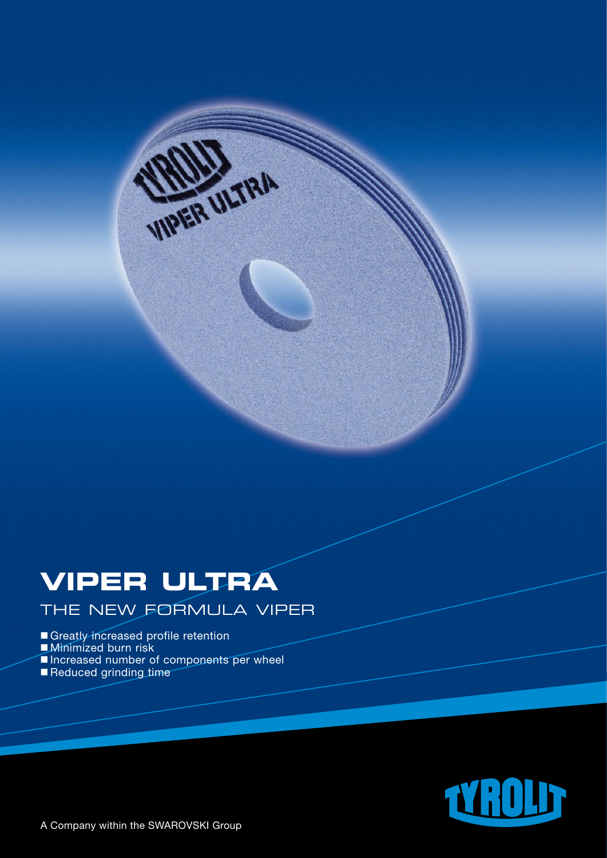# **VIPER ULTRA**

THE NEW FORMULA VIPER

**WARER ULTRA** 

Greatly increased profile retention

- **Minimized burn risk**
- Increased number of components per wheel
- Reduced grinding time

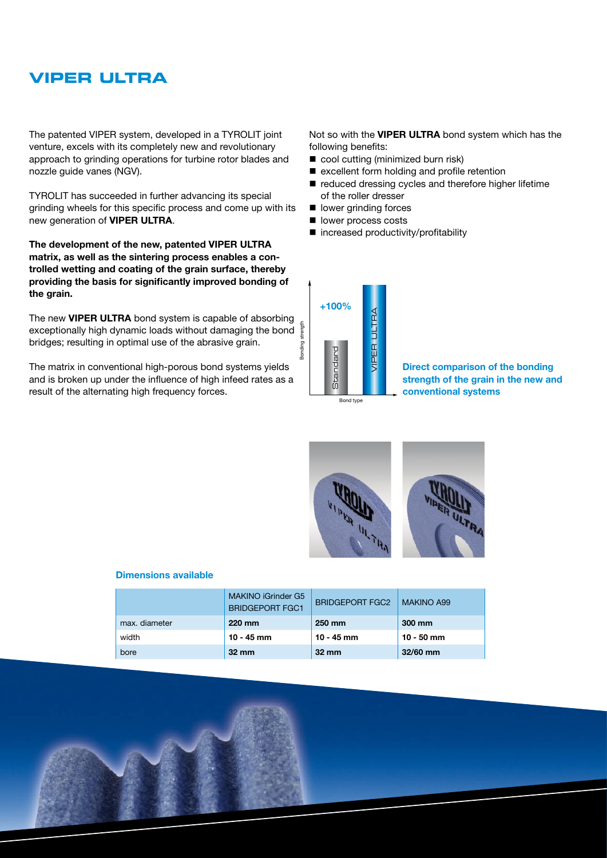### **VIPER ULTRA**

The patented VIPER system, developed in a TYROLIT joint venture, excels with its completely new and revolutionary approach to grinding operations for turbine rotor blades and nozzle guide vanes (NGV).

TYROLIT has succeeded in further advancing its special grinding wheels for this specific process and come up with its new generation of **VIPER ULTRA**.

**The development of the new, patented VIPER ULTRA matrix, as well as the sintering process enables a controlled wetting and coating of the grain surface, thereby providing the basis for significantly improved bonding of the grain.**

The new **VIPER ULTRA** bond system is capable of absorbing exceptionally high dynamic loads without damaging the bond bridges; resulting in optimal use of the abrasive grain.

The matrix in conventional high-porous bond systems yields and is broken up under the influence of high infeed rates as a result of the alternating high frequency forces.

Not so with the **VIPER ULTRA** bond system which has the following benefits:

- $\blacksquare$  cool cutting (minimized burn risk)
- $\blacksquare$  excellent form holding and profile retention
- $\blacksquare$  reduced dressing cycles and therefore higher lifetime of the roller dresser
- $\blacksquare$  lower grinding forces
- lower process costs
- $\blacksquare$  increased productivity/profitability



**Direct comparison of the bonding strength of the grain in the new and conventional systems**



#### **Dimensions available**

|               | <b>MAKINO iGrinder G5</b><br><b>BRIDGEPORT FGC1</b> | <b>BRIDGEPORT FGC2</b> | <b>MAKINO A99</b> |
|---------------|-----------------------------------------------------|------------------------|-------------------|
| max. diameter | 220 mm                                              | 250 mm                 | 300 mm            |
| width         | $10 - 45$ mm                                        | 10 - 45 mm             | $10 - 50$ mm      |
| bore          | $32 \, \text{mm}$                                   | $32 \, \text{mm}$      | $32/60$ mm        |

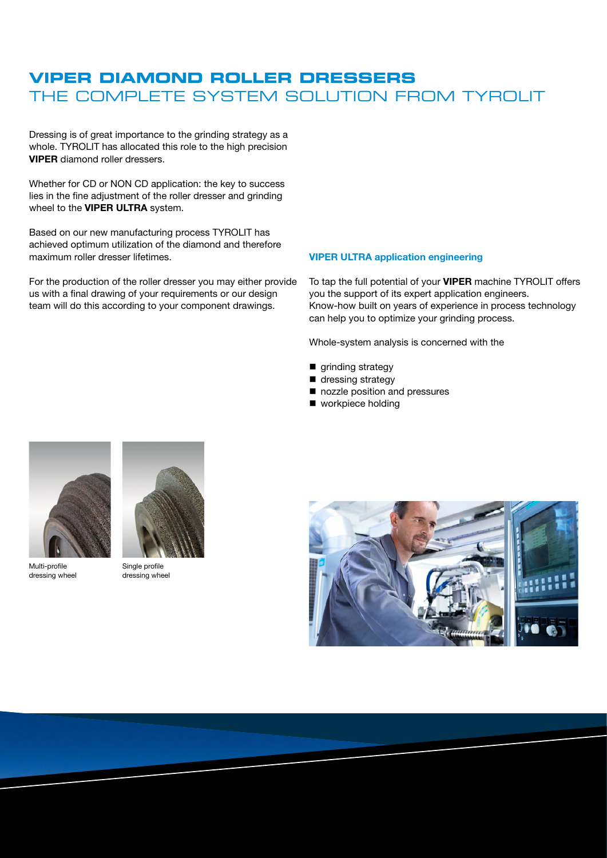### **VIPER DIAMOND ROLLER DRESSERS** THE COMPLETE SYSTEM SOLUTION FROM TYROLIT

Dressing is of great importance to the grinding strategy as a whole. TYROLIT has allocated this role to the high precision **VIPER** diamond roller dressers.

Whether for CD or NON CD application: the key to success lies in the fine adjustment of the roller dresser and grinding wheel to the **VIPER ULTRA** system.

Based on our new manufacturing process TYROLIT has achieved optimum utilization of the diamond and therefore maximum roller dresser lifetimes.

For the production of the roller dresser you may either provide us with a final drawing of your requirements or our design team will do this according to your component drawings.

#### **VIPER ULTRA application engineering**

To tap the full potential of your **VIPER** machine TYROLIT offers you the support of its expert application engineers. Know-how built on years of experience in process technology can help you to optimize your grinding process.

Whole-system analysis is concerned with the

- grinding strategy
- dressing strategy
- nozzle position and pressures
- $\blacksquare$  workpiece holding



Multi-profile dressing wheel



Single profile dressing wheel

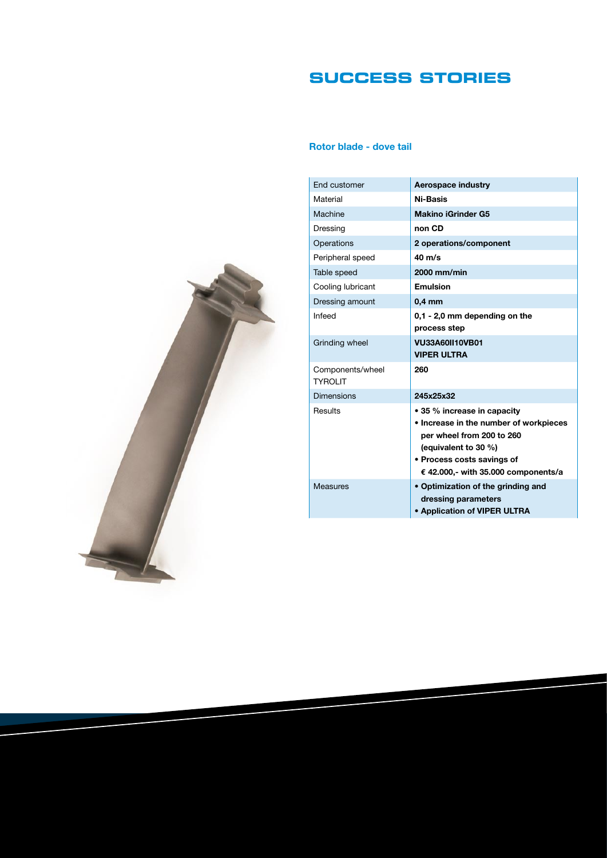# **SUcCESS STORIES**

### **Rotor blade - dove tail**

| End customer                       | <b>Aerospace industry</b>                                           |
|------------------------------------|---------------------------------------------------------------------|
| Material                           | <b>Ni-Basis</b>                                                     |
| Machine                            | <b>Makino iGrinder G5</b>                                           |
| Dressing                           | non CD                                                              |
| Operations                         | 2 operations/component                                              |
| Peripheral speed                   | $40 \text{ m/s}$                                                    |
| Table speed                        | 2000 mm/min                                                         |
| Cooling lubricant                  | Emulsion                                                            |
| Dressing amount                    | $0.4$ mm                                                            |
| Infeed                             | 0.1 - 2.0 mm depending on the                                       |
|                                    | process step                                                        |
| Grinding wheel                     | <b>VU33A60II10VB01</b>                                              |
|                                    | <b>VIPER ULTRA</b>                                                  |
| Components/wheel<br><b>TYROLIT</b> | 260                                                                 |
| <b>Dimensions</b>                  | 245x25x32                                                           |
| Results                            | • 35 % increase in capacity                                         |
|                                    | • Increase in the number of workpieces<br>per wheel from 200 to 260 |
|                                    | (equivalent to 30 %)                                                |
|                                    | • Process costs savings of                                          |
|                                    | € 42.000,- with 35.000 components/a                                 |
| <b>Measures</b>                    | • Optimization of the grinding and                                  |
|                                    | dressing parameters                                                 |
|                                    | <b>• Application of VIPER ULTRA</b>                                 |

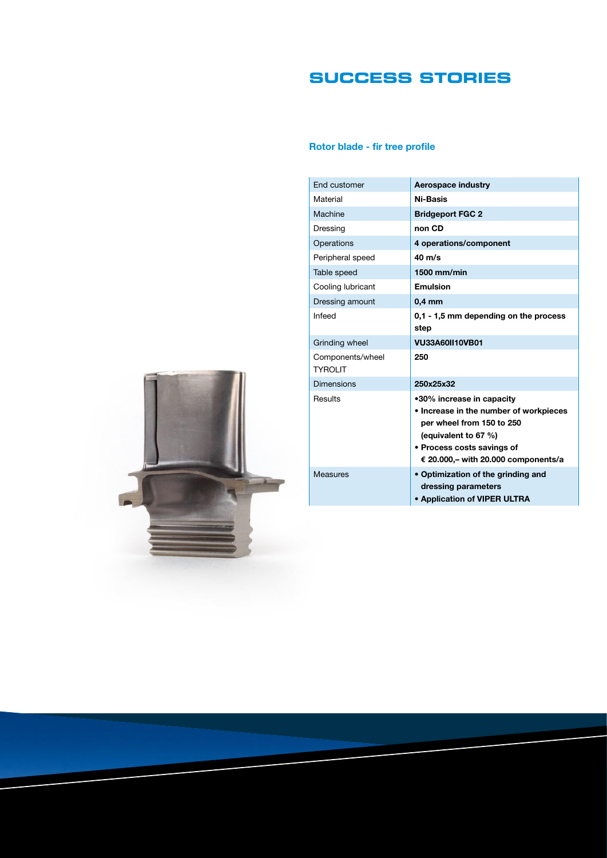# **SUcCESS STORIES**

### **Rotor blade - fir tree profile**

| End customer                 | Aerospace industry                                                                                                                                                                            |
|------------------------------|-----------------------------------------------------------------------------------------------------------------------------------------------------------------------------------------------|
| Material                     | Ni-Basis                                                                                                                                                                                      |
| Machine                      | <b>Bridgeport FGC 2</b>                                                                                                                                                                       |
| Dressing                     | non CD                                                                                                                                                                                        |
| Operations                   | 4 operations/component                                                                                                                                                                        |
| Peripheral speed             | $40 \text{ m/s}$                                                                                                                                                                              |
| Table speed                  | 1500 mm/min                                                                                                                                                                                   |
| Cooling lubricant            | <b>Emulsion</b>                                                                                                                                                                               |
| Dressing amount              | $0,4$ mm                                                                                                                                                                                      |
| Infeed                       | 0,1 - 1,5 mm depending on the process<br>step                                                                                                                                                 |
| Grinding wheel               | <b>VU33A60II10VB01</b>                                                                                                                                                                        |
| Components/wheel<br>TYROI IT | 250                                                                                                                                                                                           |
| <b>Dimensions</b>            | 250x25x32                                                                                                                                                                                     |
| Results                      | •30% increase in capacity<br>• Increase in the number of workpieces<br>per wheel from 150 to 250<br>(equivalent to 67 %)<br>• Process costs savings of<br>€ 20.000,- with 20.000 components/a |
| <b>Measures</b>              | • Optimization of the grinding and<br>dressing parameters<br>• Application of VIPER ULTRA                                                                                                     |